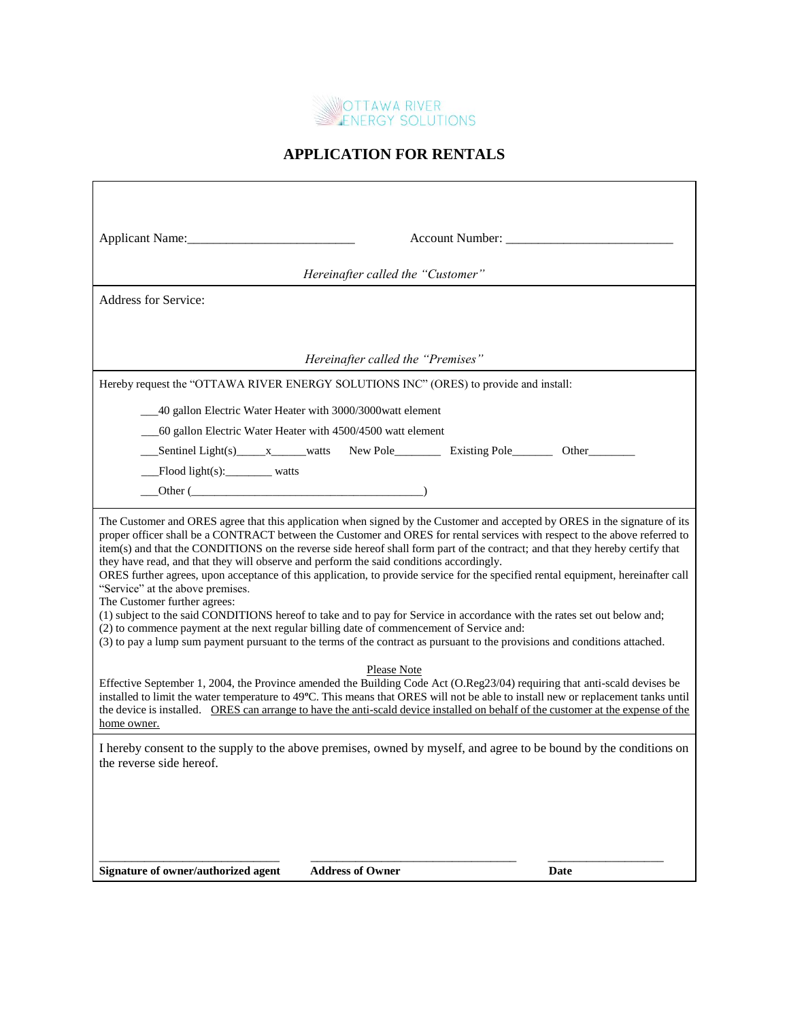

## **APPLICATION FOR RENTALS**

| Applicant Name:                                                                                                                                                                                                                                                                                                                                                                                                                                                                                                                                                                                                                                                                               | Account Number: _________                                                                                                                                                                                                                                                                                                                          |             |
|-----------------------------------------------------------------------------------------------------------------------------------------------------------------------------------------------------------------------------------------------------------------------------------------------------------------------------------------------------------------------------------------------------------------------------------------------------------------------------------------------------------------------------------------------------------------------------------------------------------------------------------------------------------------------------------------------|----------------------------------------------------------------------------------------------------------------------------------------------------------------------------------------------------------------------------------------------------------------------------------------------------------------------------------------------------|-------------|
| Hereinafter called the "Customer"                                                                                                                                                                                                                                                                                                                                                                                                                                                                                                                                                                                                                                                             |                                                                                                                                                                                                                                                                                                                                                    |             |
| Address for Service:                                                                                                                                                                                                                                                                                                                                                                                                                                                                                                                                                                                                                                                                          |                                                                                                                                                                                                                                                                                                                                                    |             |
|                                                                                                                                                                                                                                                                                                                                                                                                                                                                                                                                                                                                                                                                                               |                                                                                                                                                                                                                                                                                                                                                    |             |
|                                                                                                                                                                                                                                                                                                                                                                                                                                                                                                                                                                                                                                                                                               | Hereinafter called the "Premises"                                                                                                                                                                                                                                                                                                                  |             |
| Hereby request the "OTTAWA RIVER ENERGY SOLUTIONS INC" (ORES) to provide and install:                                                                                                                                                                                                                                                                                                                                                                                                                                                                                                                                                                                                         |                                                                                                                                                                                                                                                                                                                                                    |             |
| 40 gallon Electric Water Heater with 3000/3000watt element                                                                                                                                                                                                                                                                                                                                                                                                                                                                                                                                                                                                                                    |                                                                                                                                                                                                                                                                                                                                                    |             |
| 60 gallon Electric Water Heater with 4500/4500 watt element                                                                                                                                                                                                                                                                                                                                                                                                                                                                                                                                                                                                                                   |                                                                                                                                                                                                                                                                                                                                                    |             |
|                                                                                                                                                                                                                                                                                                                                                                                                                                                                                                                                                                                                                                                                                               |                                                                                                                                                                                                                                                                                                                                                    | Other_1     |
| Flood light(s):________ watts                                                                                                                                                                                                                                                                                                                                                                                                                                                                                                                                                                                                                                                                 |                                                                                                                                                                                                                                                                                                                                                    |             |
|                                                                                                                                                                                                                                                                                                                                                                                                                                                                                                                                                                                                                                                                                               |                                                                                                                                                                                                                                                                                                                                                    |             |
| The Customer and ORES agree that this application when signed by the Customer and accepted by ORES in the signature of its<br>proper officer shall be a CONTRACT between the Customer and ORES for rental services with respect to the above referred to<br>item(s) and that the CONDITIONS on the reverse side hereof shall form part of the contract; and that they hereby certify that<br>they have read, and that they will observe and perform the said conditions accordingly.<br>ORES further agrees, upon acceptance of this application, to provide service for the specified rental equipment, hereinafter call<br>"Service" at the above premises.<br>The Customer further agrees: |                                                                                                                                                                                                                                                                                                                                                    |             |
|                                                                                                                                                                                                                                                                                                                                                                                                                                                                                                                                                                                                                                                                                               | (1) subject to the said CONDITIONS hereof to take and to pay for Service in accordance with the rates set out below and;<br>(2) to commence payment at the next regular billing date of commencement of Service and:<br>(3) to pay a lump sum payment pursuant to the terms of the contract as pursuant to the provisions and conditions attached. |             |
| Please Note<br>Effective September 1, 2004, the Province amended the Building Code Act (O.Reg23/04) requiring that anti-scald devises be<br>installed to limit the water temperature to 49°C. This means that ORES will not be able to install new or replacement tanks until<br>the device is installed. ORES can arrange to have the anti-scald device installed on behalf of the customer at the expense of the<br>home owner.                                                                                                                                                                                                                                                             |                                                                                                                                                                                                                                                                                                                                                    |             |
| I hereby consent to the supply to the above premises, owned by myself, and agree to be bound by the conditions on<br>the reverse side hereof.                                                                                                                                                                                                                                                                                                                                                                                                                                                                                                                                                 |                                                                                                                                                                                                                                                                                                                                                    |             |
|                                                                                                                                                                                                                                                                                                                                                                                                                                                                                                                                                                                                                                                                                               |                                                                                                                                                                                                                                                                                                                                                    |             |
|                                                                                                                                                                                                                                                                                                                                                                                                                                                                                                                                                                                                                                                                                               |                                                                                                                                                                                                                                                                                                                                                    |             |
|                                                                                                                                                                                                                                                                                                                                                                                                                                                                                                                                                                                                                                                                                               |                                                                                                                                                                                                                                                                                                                                                    |             |
| Signature of owner/authorized agent                                                                                                                                                                                                                                                                                                                                                                                                                                                                                                                                                                                                                                                           | <b>Address of Owner</b>                                                                                                                                                                                                                                                                                                                            | <b>Date</b> |